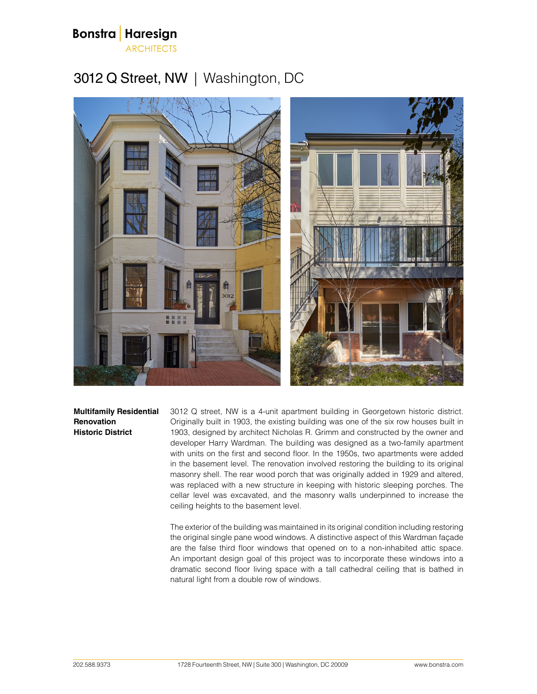

## 3012 Q Street, NW | Washington, DC



**Multifamily Residential Renovation Historic District**

3012 Q street, NW is a 4-unit apartment building in Georgetown historic district. Originally built in 1903, the existing building was one of the six row houses built in 1903, designed by architect Nicholas R. Grimm and constructed by the owner and developer Harry Wardman. The building was designed as a two-family apartment with units on the first and second floor. In the 1950s, two apartments were added in the basement level. The renovation involved restoring the building to its original masonry shell. The rear wood porch that was originally added in 1929 and altered, was replaced with a new structure in keeping with historic sleeping porches. The cellar level was excavated, and the masonry walls underpinned to increase the ceiling heights to the basement level.

The exterior of the building was maintained in its original condition including restoring the original single pane wood windows. A distinctive aspect of this Wardman façade are the false third floor windows that opened on to a non-inhabited attic space. An important design goal of this project was to incorporate these windows into a dramatic second floor living space with a tall cathedral ceiling that is bathed in natural light from a double row of windows.